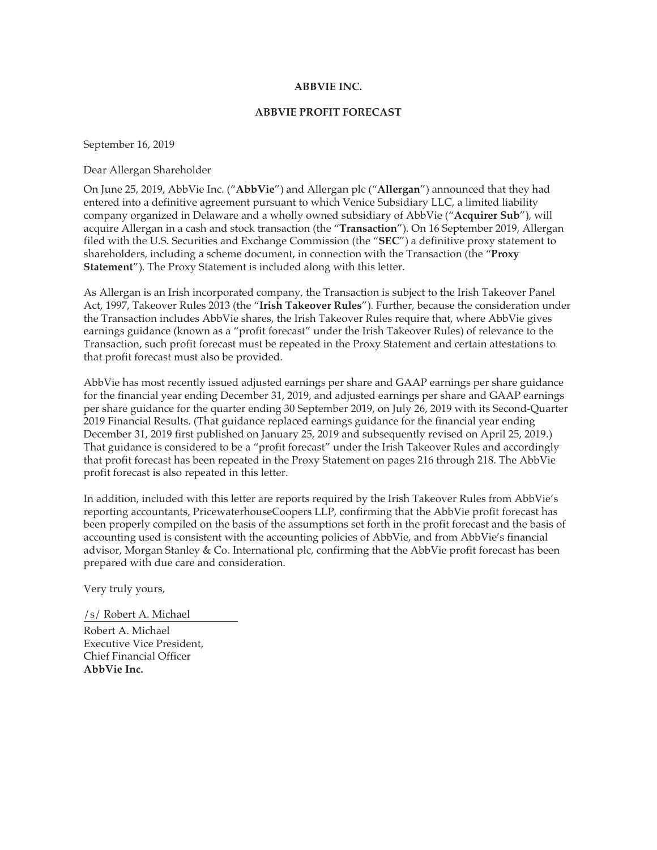### **ABBVIE INC.**

#### **ABBVIE PROFIT FORECAST**

September 16, 2019

#### Dear Allergan Shareholder

On June 25, 2019, AbbVie Inc. ("**AbbVie**") and Allergan plc ("**Allergan**") announced that they had entered into a definitive agreement pursuant to which Venice Subsidiary LLC, a limited liability company organized in Delaware and a wholly owned subsidiary of AbbVie ("**Acquirer Sub**"), will acquire Allergan in a cash and stock transaction (the "**Transaction**"). On 16 September 2019, Allergan filed with the U.S. Securities and Exchange Commission (the "**SEC**") a definitive proxy statement to shareholders, including a scheme document, in connection with the Transaction (the "**Proxy Statement**"). The Proxy Statement is included along with this letter.

As Allergan is an Irish incorporated company, the Transaction is subject to the Irish Takeover Panel Act, 1997, Takeover Rules 2013 (the "**Irish Takeover Rules**"). Further, because the consideration under the Transaction includes AbbVie shares, the Irish Takeover Rules require that, where AbbVie gives earnings guidance (known as a "profit forecast" under the Irish Takeover Rules) of relevance to the Transaction, such profit forecast must be repeated in the Proxy Statement and certain attestations to that profit forecast must also be provided.

AbbVie has most recently issued adjusted earnings per share and GAAP earnings per share guidance for the financial year ending December 31, 2019, and adjusted earnings per share and GAAP earnings per share guidance for the quarter ending 30 September 2019, on July 26, 2019 with its Second-Quarter 2019 Financial Results. (That guidance replaced earnings guidance for the financial year ending December 31, 2019 first published on January 25, 2019 and subsequently revised on April 25, 2019.) That guidance is considered to be a "profit forecast" under the Irish Takeover Rules and accordingly that profit forecast has been repeated in the Proxy Statement on pages 216 through 218. The AbbVie profit forecast is also repeated in this letter.

In addition, included with this letter are reports required by the Irish Takeover Rules from AbbVie's reporting accountants, PricewaterhouseCoopers LLP, confirming that the AbbVie profit forecast has been properly compiled on the basis of the assumptions set forth in the profit forecast and the basis of accounting used is consistent with the accounting policies of AbbVie, and from AbbVie's financial advisor, Morgan Stanley & Co. International plc, confirming that the AbbVie profit forecast has been prepared with due care and consideration.

Very truly yours,

/s/ Robert A. Michael

Robert A. Michael Executive Vice President, Chief Financial Officer **AbbVie Inc.**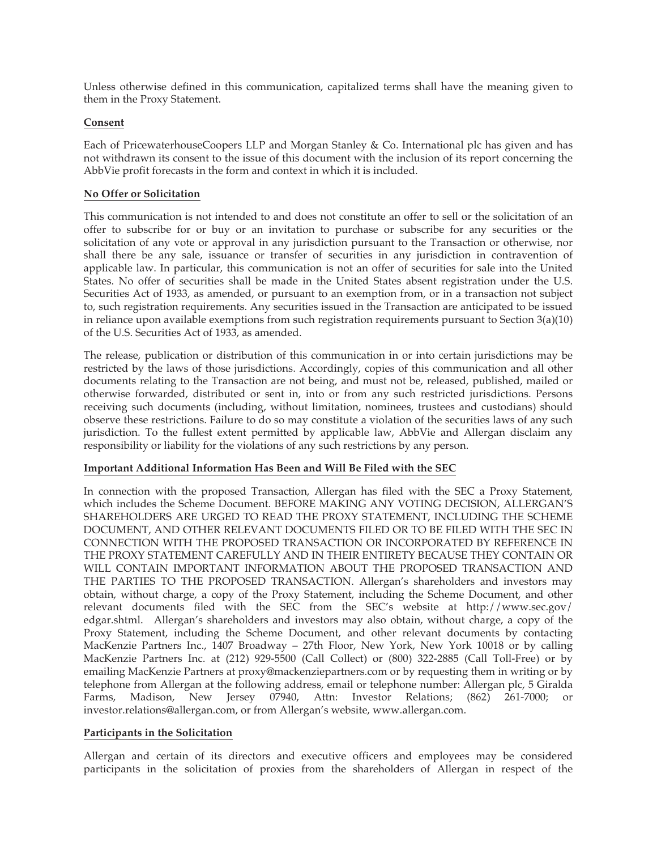Unless otherwise defined in this communication, capitalized terms shall have the meaning given to them in the Proxy Statement.

### **Consent**

Each of PricewaterhouseCoopers LLP and Morgan Stanley & Co. International plc has given and has not withdrawn its consent to the issue of this document with the inclusion of its report concerning the AbbVie profit forecasts in the form and context in which it is included.

# **No Offer or Solicitation**

This communication is not intended to and does not constitute an offer to sell or the solicitation of an offer to subscribe for or buy or an invitation to purchase or subscribe for any securities or the solicitation of any vote or approval in any jurisdiction pursuant to the Transaction or otherwise, nor shall there be any sale, issuance or transfer of securities in any jurisdiction in contravention of applicable law. In particular, this communication is not an offer of securities for sale into the United States. No offer of securities shall be made in the United States absent registration under the U.S. Securities Act of 1933, as amended, or pursuant to an exemption from, or in a transaction not subject to, such registration requirements. Any securities issued in the Transaction are anticipated to be issued in reliance upon available exemptions from such registration requirements pursuant to Section 3(a)(10) of the U.S. Securities Act of 1933, as amended.

The release, publication or distribution of this communication in or into certain jurisdictions may be restricted by the laws of those jurisdictions. Accordingly, copies of this communication and all other documents relating to the Transaction are not being, and must not be, released, published, mailed or otherwise forwarded, distributed or sent in, into or from any such restricted jurisdictions. Persons receiving such documents (including, without limitation, nominees, trustees and custodians) should observe these restrictions. Failure to do so may constitute a violation of the securities laws of any such jurisdiction. To the fullest extent permitted by applicable law, AbbVie and Allergan disclaim any responsibility or liability for the violations of any such restrictions by any person.

#### **Important Additional Information Has Been and Will Be Filed with the SEC**

In connection with the proposed Transaction, Allergan has filed with the SEC a Proxy Statement, which includes the Scheme Document. BEFORE MAKING ANY VOTING DECISION, ALLERGAN'S SHAREHOLDERS ARE URGED TO READ THE PROXY STATEMENT, INCLUDING THE SCHEME DOCUMENT, AND OTHER RELEVANT DOCUMENTS FILED OR TO BE FILED WITH THE SEC IN CONNECTION WITH THE PROPOSED TRANSACTION OR INCORPORATED BY REFERENCE IN THE PROXY STATEMENT CAREFULLY AND IN THEIR ENTIRETY BECAUSE THEY CONTAIN OR WILL CONTAIN IMPORTANT INFORMATION ABOUT THE PROPOSED TRANSACTION AND THE PARTIES TO THE PROPOSED TRANSACTION. Allergan's shareholders and investors may obtain, without charge, a copy of the Proxy Statement, including the Scheme Document, and other relevant documents filed with the SEC from the SEC's website at http://www.sec.gov/ edgar.shtml. Allergan's shareholders and investors may also obtain, without charge, a copy of the Proxy Statement, including the Scheme Document, and other relevant documents by contacting MacKenzie Partners Inc., 1407 Broadway – 27th Floor, New York, New York 10018 or by calling MacKenzie Partners Inc. at (212) 929-5500 (Call Collect) or (800) 322-2885 (Call Toll-Free) or by emailing MacKenzie Partners at proxy@mackenziepartners.com or by requesting them in writing or by telephone from Allergan at the following address, email or telephone number: Allergan plc, 5 Giralda Farms, Madison, New Jersey 07940, Attn: Investor Relations; (862) 261-7000; or investor.relations@allergan.com, or from Allergan's website, www.allergan.com.

#### **Participants in the Solicitation**

Allergan and certain of its directors and executive officers and employees may be considered participants in the solicitation of proxies from the shareholders of Allergan in respect of the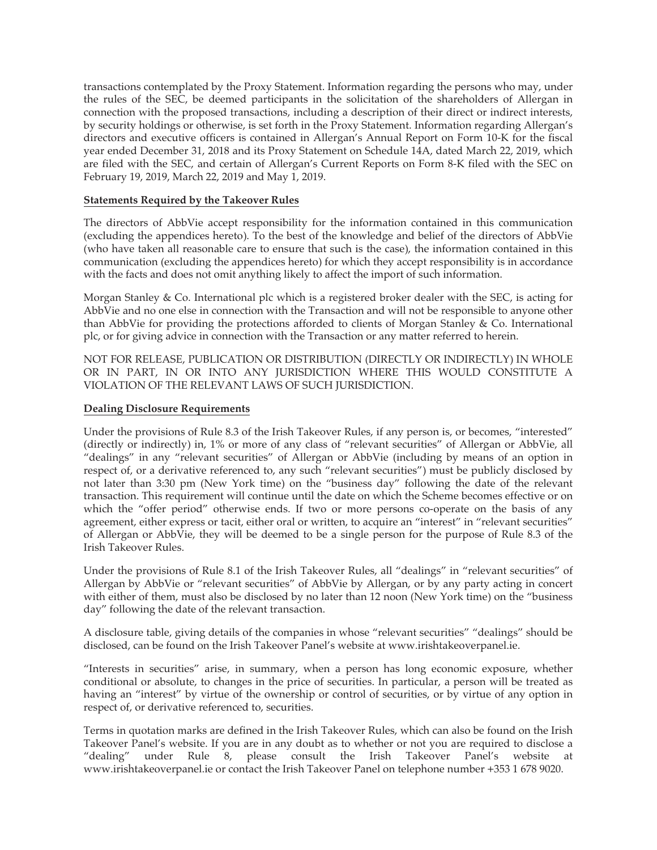transactions contemplated by the Proxy Statement. Information regarding the persons who may, under the rules of the SEC, be deemed participants in the solicitation of the shareholders of Allergan in connection with the proposed transactions, including a description of their direct or indirect interests, by security holdings or otherwise, is set forth in the Proxy Statement. Information regarding Allergan's directors and executive officers is contained in Allergan's Annual Report on Form 10-K for the fiscal year ended December 31, 2018 and its Proxy Statement on Schedule 14A, dated March 22, 2019, which are filed with the SEC, and certain of Allergan's Current Reports on Form 8-K filed with the SEC on February 19, 2019, March 22, 2019 and May 1, 2019.

# **Statements Required by the Takeover Rules**

The directors of AbbVie accept responsibility for the information contained in this communication (excluding the appendices hereto). To the best of the knowledge and belief of the directors of AbbVie (who have taken all reasonable care to ensure that such is the case), the information contained in this communication (excluding the appendices hereto) for which they accept responsibility is in accordance with the facts and does not omit anything likely to affect the import of such information.

Morgan Stanley & Co. International plc which is a registered broker dealer with the SEC, is acting for AbbVie and no one else in connection with the Transaction and will not be responsible to anyone other than AbbVie for providing the protections afforded to clients of Morgan Stanley & Co. International plc, or for giving advice in connection with the Transaction or any matter referred to herein.

NOT FOR RELEASE, PUBLICATION OR DISTRIBUTION (DIRECTLY OR INDIRECTLY) IN WHOLE OR IN PART, IN OR INTO ANY JURISDICTION WHERE THIS WOULD CONSTITUTE A VIOLATION OF THE RELEVANT LAWS OF SUCH JURISDICTION.

### **Dealing Disclosure Requirements**

Under the provisions of Rule 8.3 of the Irish Takeover Rules, if any person is, or becomes, "interested" (directly or indirectly) in, 1% or more of any class of "relevant securities" of Allergan or AbbVie, all "dealings" in any "relevant securities" of Allergan or AbbVie (including by means of an option in respect of, or a derivative referenced to, any such "relevant securities") must be publicly disclosed by not later than 3:30 pm (New York time) on the "business day" following the date of the relevant transaction. This requirement will continue until the date on which the Scheme becomes effective or on which the "offer period" otherwise ends. If two or more persons co-operate on the basis of any agreement, either express or tacit, either oral or written, to acquire an "interest" in "relevant securities" of Allergan or AbbVie, they will be deemed to be a single person for the purpose of Rule 8.3 of the Irish Takeover Rules.

Under the provisions of Rule 8.1 of the Irish Takeover Rules, all "dealings" in "relevant securities" of Allergan by AbbVie or "relevant securities" of AbbVie by Allergan, or by any party acting in concert with either of them, must also be disclosed by no later than 12 noon (New York time) on the "business day" following the date of the relevant transaction.

A disclosure table, giving details of the companies in whose "relevant securities" "dealings" should be disclosed, can be found on the Irish Takeover Panel's website at www.irishtakeoverpanel.ie.

"Interests in securities" arise, in summary, when a person has long economic exposure, whether conditional or absolute, to changes in the price of securities. In particular, a person will be treated as having an "interest" by virtue of the ownership or control of securities, or by virtue of any option in respect of, or derivative referenced to, securities.

Terms in quotation marks are defined in the Irish Takeover Rules, which can also be found on the Irish Takeover Panel's website. If you are in any doubt as to whether or not you are required to disclose a "dealing" under Rule 8, please consult the Irish Takeover Panel's website at www.irishtakeoverpanel.ie or contact the Irish Takeover Panel on telephone number +353 1 678 9020.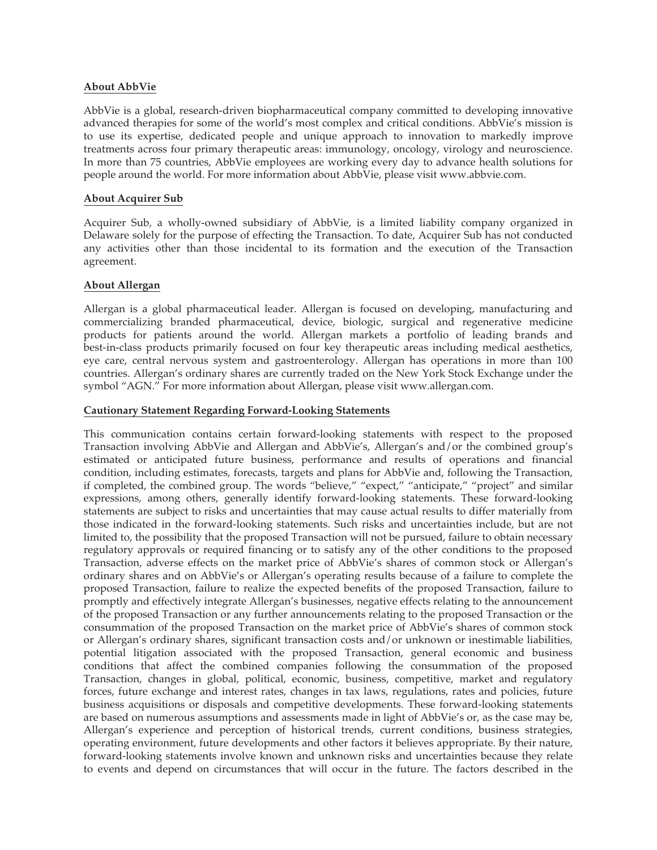## **About AbbVie**

AbbVie is a global, research-driven biopharmaceutical company committed to developing innovative advanced therapies for some of the world's most complex and critical conditions. AbbVie's mission is to use its expertise, dedicated people and unique approach to innovation to markedly improve treatments across four primary therapeutic areas: immunology, oncology, virology and neuroscience. In more than 75 countries, AbbVie employees are working every day to advance health solutions for people around the world. For more information about AbbVie, please visit www.abbvie.com.

# **About Acquirer Sub**

Acquirer Sub, a wholly-owned subsidiary of AbbVie, is a limited liability company organized in Delaware solely for the purpose of effecting the Transaction. To date, Acquirer Sub has not conducted any activities other than those incidental to its formation and the execution of the Transaction agreement.

### **About Allergan**

Allergan is a global pharmaceutical leader. Allergan is focused on developing, manufacturing and commercializing branded pharmaceutical, device, biologic, surgical and regenerative medicine products for patients around the world. Allergan markets a portfolio of leading brands and best-in-class products primarily focused on four key therapeutic areas including medical aesthetics, eye care, central nervous system and gastroenterology. Allergan has operations in more than 100 countries. Allergan's ordinary shares are currently traded on the New York Stock Exchange under the symbol "AGN." For more information about Allergan, please visit www.allergan.com.

# **Cautionary Statement Regarding Forward-Looking Statements**

This communication contains certain forward-looking statements with respect to the proposed Transaction involving AbbVie and Allergan and AbbVie's, Allergan's and/or the combined group's estimated or anticipated future business, performance and results of operations and financial condition, including estimates, forecasts, targets and plans for AbbVie and, following the Transaction, if completed, the combined group. The words "believe," "expect," "anticipate," "project" and similar expressions, among others, generally identify forward-looking statements. These forward-looking statements are subject to risks and uncertainties that may cause actual results to differ materially from those indicated in the forward-looking statements. Such risks and uncertainties include, but are not limited to, the possibility that the proposed Transaction will not be pursued, failure to obtain necessary regulatory approvals or required financing or to satisfy any of the other conditions to the proposed Transaction, adverse effects on the market price of AbbVie's shares of common stock or Allergan's ordinary shares and on AbbVie's or Allergan's operating results because of a failure to complete the proposed Transaction, failure to realize the expected benefits of the proposed Transaction, failure to promptly and effectively integrate Allergan's businesses, negative effects relating to the announcement of the proposed Transaction or any further announcements relating to the proposed Transaction or the consummation of the proposed Transaction on the market price of AbbVie's shares of common stock or Allergan's ordinary shares, significant transaction costs and/or unknown or inestimable liabilities, potential litigation associated with the proposed Transaction, general economic and business conditions that affect the combined companies following the consummation of the proposed Transaction, changes in global, political, economic, business, competitive, market and regulatory forces, future exchange and interest rates, changes in tax laws, regulations, rates and policies, future business acquisitions or disposals and competitive developments. These forward-looking statements are based on numerous assumptions and assessments made in light of AbbVie's or, as the case may be, Allergan's experience and perception of historical trends, current conditions, business strategies, operating environment, future developments and other factors it believes appropriate. By their nature, forward-looking statements involve known and unknown risks and uncertainties because they relate to events and depend on circumstances that will occur in the future. The factors described in the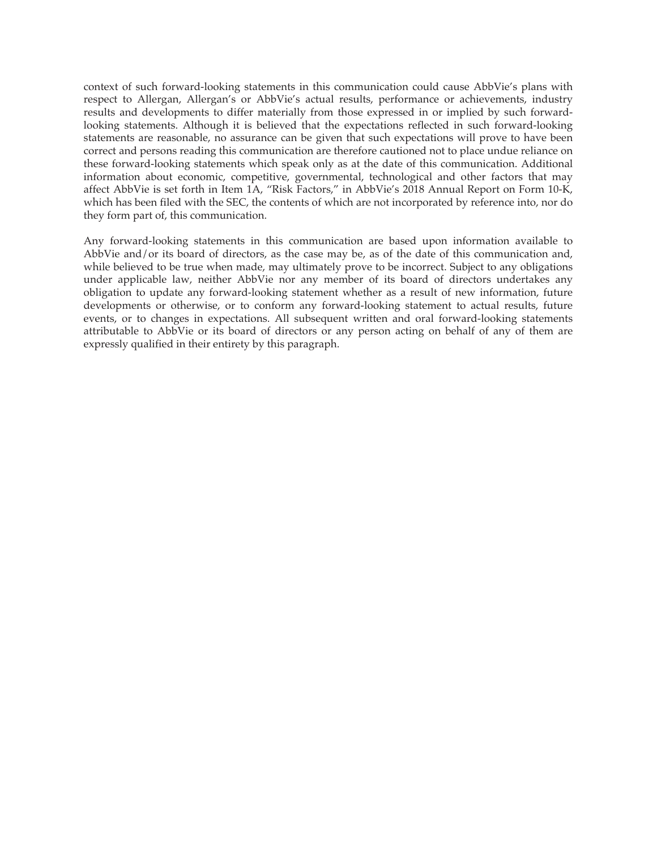context of such forward-looking statements in this communication could cause AbbVie's plans with respect to Allergan, Allergan's or AbbVie's actual results, performance or achievements, industry results and developments to differ materially from those expressed in or implied by such forwardlooking statements. Although it is believed that the expectations reflected in such forward-looking statements are reasonable, no assurance can be given that such expectations will prove to have been correct and persons reading this communication are therefore cautioned not to place undue reliance on these forward-looking statements which speak only as at the date of this communication. Additional information about economic, competitive, governmental, technological and other factors that may affect AbbVie is set forth in Item 1A, "Risk Factors," in AbbVie's 2018 Annual Report on Form 10-K, which has been filed with the SEC, the contents of which are not incorporated by reference into, nor do they form part of, this communication.

Any forward-looking statements in this communication are based upon information available to AbbVie and/or its board of directors, as the case may be, as of the date of this communication and, while believed to be true when made, may ultimately prove to be incorrect. Subject to any obligations under applicable law, neither AbbVie nor any member of its board of directors undertakes any obligation to update any forward-looking statement whether as a result of new information, future developments or otherwise, or to conform any forward-looking statement to actual results, future events, or to changes in expectations. All subsequent written and oral forward-looking statements attributable to AbbVie or its board of directors or any person acting on behalf of any of them are expressly qualified in their entirety by this paragraph.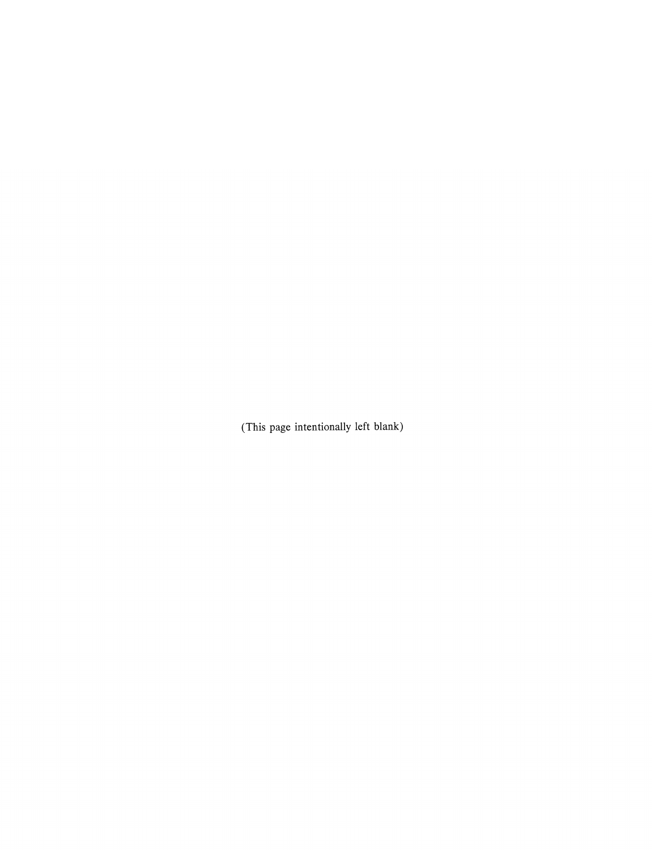(This page intentionally left blank)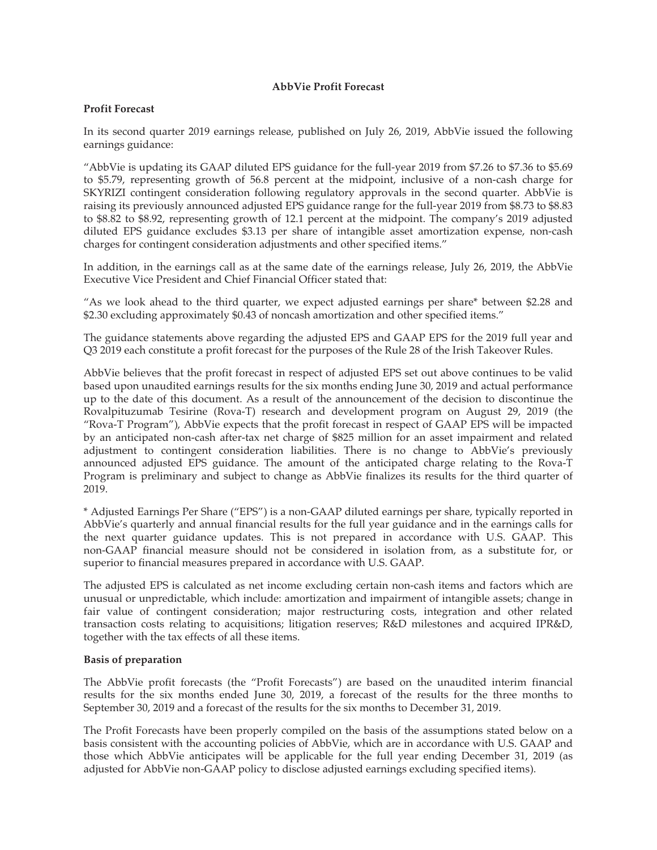# **AbbVie Profit Forecast**

# **Profit Forecast**

In its second quarter 2019 earnings release, published on July 26, 2019, AbbVie issued the following earnings guidance:

"AbbVie is updating its GAAP diluted EPS guidance for the full-year 2019 from \$7.26 to \$7.36 to \$5.69 to \$5.79, representing growth of 56.8 percent at the midpoint, inclusive of a non-cash charge for SKYRIZI contingent consideration following regulatory approvals in the second quarter. AbbVie is raising its previously announced adjusted EPS guidance range for the full-year 2019 from \$8.73 to \$8.83 to \$8.82 to \$8.92, representing growth of 12.1 percent at the midpoint. The company's 2019 adjusted diluted EPS guidance excludes \$3.13 per share of intangible asset amortization expense, non-cash charges for contingent consideration adjustments and other specified items."

In addition, in the earnings call as at the same date of the earnings release, July 26, 2019, the AbbVie Executive Vice President and Chief Financial Officer stated that:

"As we look ahead to the third quarter, we expect adjusted earnings per share\* between \$2.28 and \$2.30 excluding approximately \$0.43 of noncash amortization and other specified items."

The guidance statements above regarding the adjusted EPS and GAAP EPS for the 2019 full year and Q3 2019 each constitute a profit forecast for the purposes of the Rule 28 of the Irish Takeover Rules.

AbbVie believes that the profit forecast in respect of adjusted EPS set out above continues to be valid based upon unaudited earnings results for the six months ending June 30, 2019 and actual performance up to the date of this document. As a result of the announcement of the decision to discontinue the Rovalpituzumab Tesirine (Rova-T) research and development program on August 29, 2019 (the "Rova-T Program"), AbbVie expects that the profit forecast in respect of GAAP EPS will be impacted by an anticipated non-cash after-tax net charge of \$825 million for an asset impairment and related adjustment to contingent consideration liabilities. There is no change to AbbVie's previously announced adjusted EPS guidance. The amount of the anticipated charge relating to the Rova-T Program is preliminary and subject to change as AbbVie finalizes its results for the third quarter of 2019.

\* Adjusted Earnings Per Share ("EPS") is a non-GAAP diluted earnings per share, typically reported in AbbVie's quarterly and annual financial results for the full year guidance and in the earnings calls for the next quarter guidance updates. This is not prepared in accordance with U.S. GAAP. This non-GAAP financial measure should not be considered in isolation from, as a substitute for, or superior to financial measures prepared in accordance with U.S. GAAP.

The adjusted EPS is calculated as net income excluding certain non-cash items and factors which are unusual or unpredictable, which include: amortization and impairment of intangible assets; change in fair value of contingent consideration; major restructuring costs, integration and other related transaction costs relating to acquisitions; litigation reserves; R&D milestones and acquired IPR&D, together with the tax effects of all these items.

# **Basis of preparation**

The AbbVie profit forecasts (the "Profit Forecasts") are based on the unaudited interim financial results for the six months ended June 30, 2019, a forecast of the results for the three months to September 30, 2019 and a forecast of the results for the six months to December 31, 2019.

The Profit Forecasts have been properly compiled on the basis of the assumptions stated below on a basis consistent with the accounting policies of AbbVie, which are in accordance with U.S. GAAP and those which AbbVie anticipates will be applicable for the full year ending December 31, 2019 (as adjusted for AbbVie non-GAAP policy to disclose adjusted earnings excluding specified items).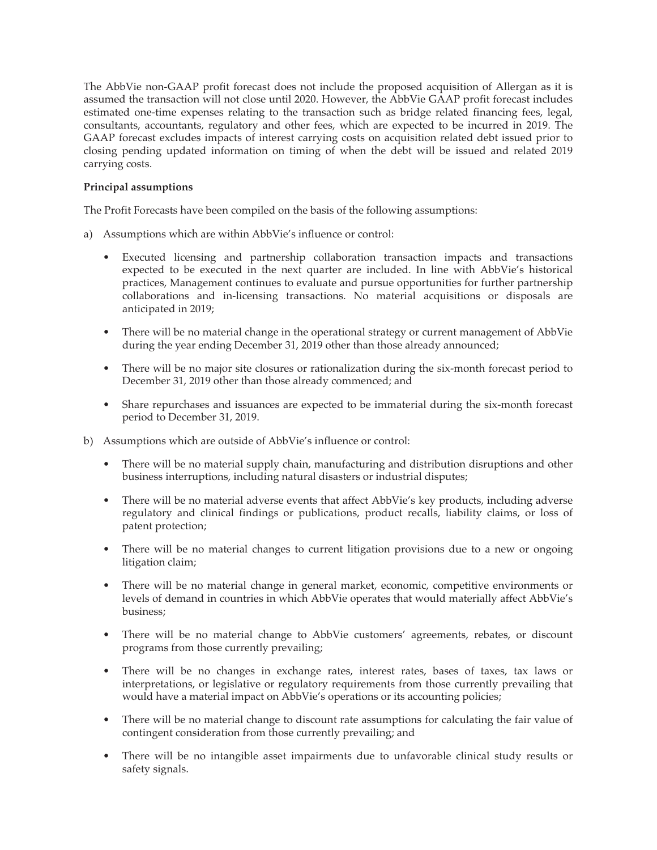The AbbVie non-GAAP profit forecast does not include the proposed acquisition of Allergan as it is assumed the transaction will not close until 2020. However, the AbbVie GAAP profit forecast includes estimated one-time expenses relating to the transaction such as bridge related financing fees, legal, consultants, accountants, regulatory and other fees, which are expected to be incurred in 2019. The GAAP forecast excludes impacts of interest carrying costs on acquisition related debt issued prior to closing pending updated information on timing of when the debt will be issued and related 2019 carrying costs.

# **Principal assumptions**

The Profit Forecasts have been compiled on the basis of the following assumptions:

- a) Assumptions which are within AbbVie's influence or control:
	- Executed licensing and partnership collaboration transaction impacts and transactions expected to be executed in the next quarter are included. In line with AbbVie's historical practices, Management continues to evaluate and pursue opportunities for further partnership collaborations and in-licensing transactions. No material acquisitions or disposals are anticipated in 2019;
	- There will be no material change in the operational strategy or current management of AbbVie during the year ending December 31, 2019 other than those already announced;
	- There will be no major site closures or rationalization during the six-month forecast period to December 31, 2019 other than those already commenced; and
	- Share repurchases and issuances are expected to be immaterial during the six-month forecast period to December 31, 2019.
- b) Assumptions which are outside of AbbVie's influence or control:
	- There will be no material supply chain, manufacturing and distribution disruptions and other business interruptions, including natural disasters or industrial disputes;
	- There will be no material adverse events that affect AbbVie's key products, including adverse regulatory and clinical findings or publications, product recalls, liability claims, or loss of patent protection;
	- There will be no material changes to current litigation provisions due to a new or ongoing litigation claim;
	- There will be no material change in general market, economic, competitive environments or levels of demand in countries in which AbbVie operates that would materially affect AbbVie's business;
	- There will be no material change to AbbVie customers' agreements, rebates, or discount programs from those currently prevailing;
	- There will be no changes in exchange rates, interest rates, bases of taxes, tax laws or interpretations, or legislative or regulatory requirements from those currently prevailing that would have a material impact on AbbVie's operations or its accounting policies;
	- There will be no material change to discount rate assumptions for calculating the fair value of contingent consideration from those currently prevailing; and
	- There will be no intangible asset impairments due to unfavorable clinical study results or safety signals.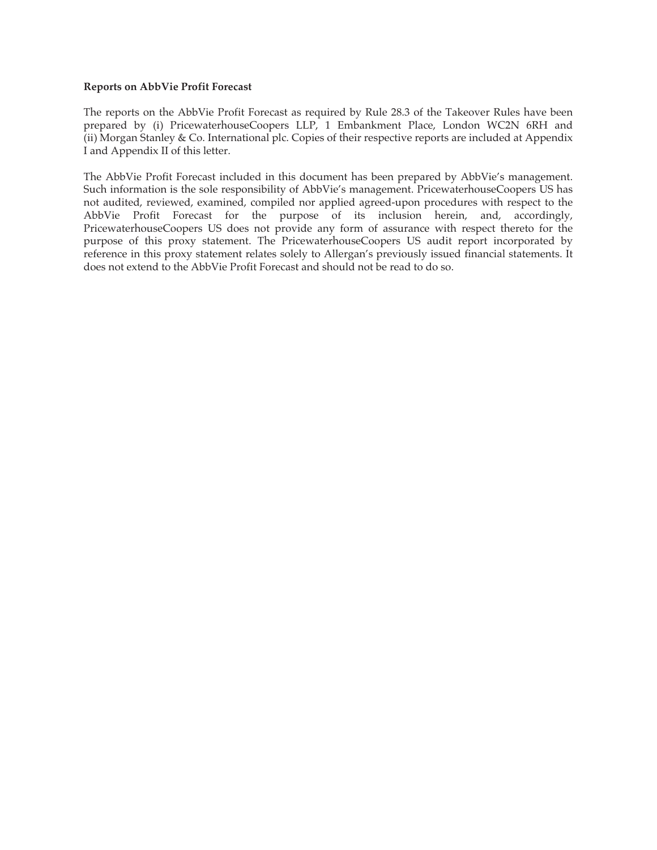### **Reports on AbbVie Profit Forecast**

The reports on the AbbVie Profit Forecast as required by Rule 28.3 of the Takeover Rules have been prepared by (i) PricewaterhouseCoopers LLP, 1 Embankment Place, London WC2N 6RH and (ii) Morgan Stanley & Co. International plc. Copies of their respective reports are included at Appendix I and Appendix II of this letter.

The AbbVie Profit Forecast included in this document has been prepared by AbbVie's management. Such information is the sole responsibility of AbbVie's management. PricewaterhouseCoopers US has not audited, reviewed, examined, compiled nor applied agreed-upon procedures with respect to the AbbVie Profit Forecast for the purpose of its inclusion herein, and, accordingly, PricewaterhouseCoopers US does not provide any form of assurance with respect thereto for the purpose of this proxy statement. The PricewaterhouseCoopers US audit report incorporated by reference in this proxy statement relates solely to Allergan's previously issued financial statements. It does not extend to the AbbVie Profit Forecast and should not be read to do so.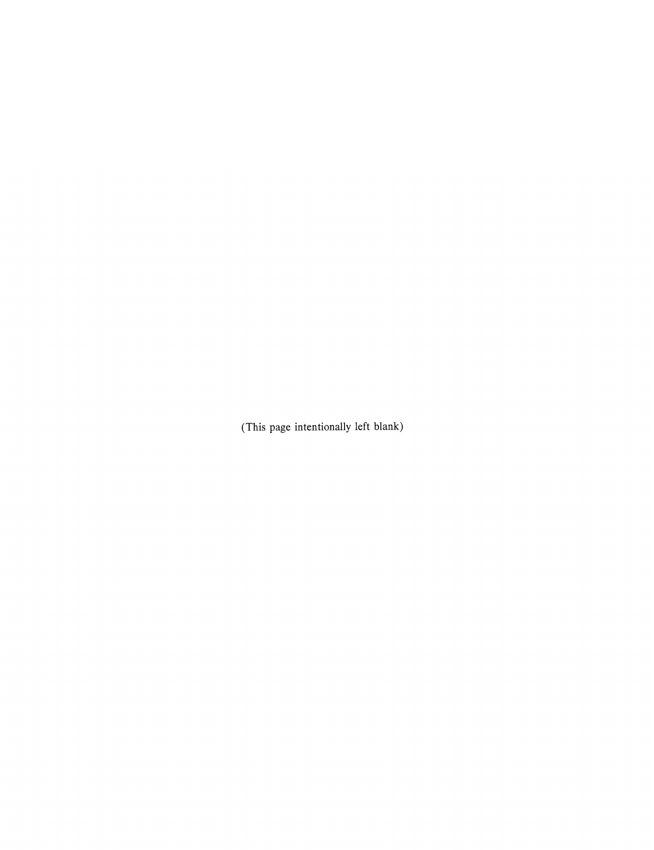(This page intentionally left blank)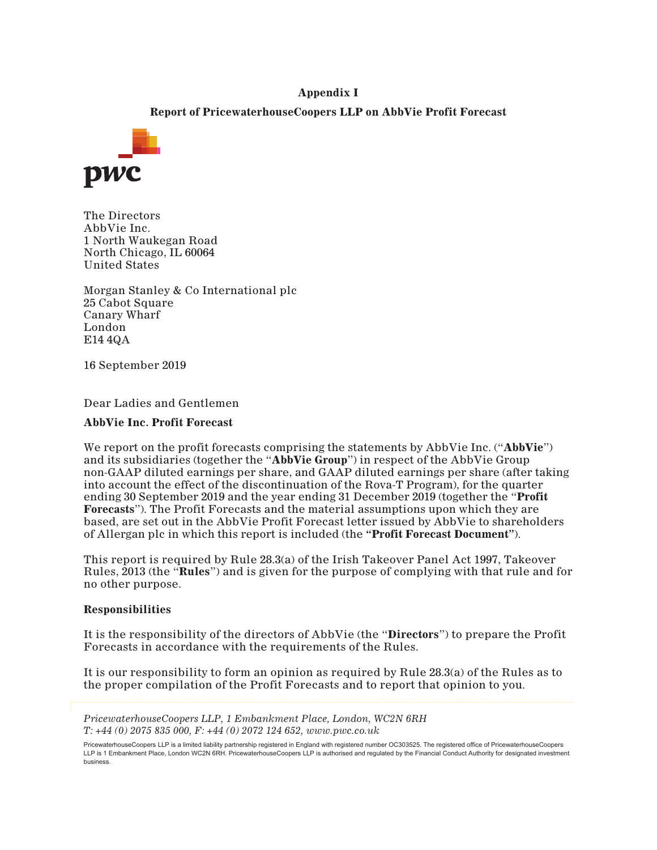# **Appendix I**

**Report of PricewaterhouseCoopers LLP on AbbVie Profit Forecast**



The Directors AbbVie Inc. 1 North Waukegan Road North Chicago, IL 60064 United States

Morgan Stanley & Co International plc 25 Cabot Square Canary Wharf London E14 4QA

16 September 2019

Dear Ladies and Gentlemen

# **AbbVie Inc. Profit Forecast**

We report on the profit forecasts comprising the statements by AbbVie Inc. ("**AbbVie**") and its subsidiaries (together the "**AbbVie Group**") in respect of the AbbVie Group non-GAAP diluted earnings per share, and GAAP diluted earnings per share (after taking into account the effect of the discontinuation of the Rova-T Program), for the quarter ending 30 September 2019 and the year ending 31 December 2019 (together the "**Profit Forecasts**"). The Profit Forecasts and the material assumptions upon which they are based, are set out in the AbbVie Profit Forecast letter issued by AbbVie to shareholders of Allergan plc in which this report is included (the **"Profit Forecast Document"**).

This report is required by Rule 28.3(a) of the Irish Takeover Panel Act 1997, Takeover Rules, 2013 (the "**Rules**") and is given for the purpose of complying with that rule and for no other purpose.

#### **Responsibilities**

It is the responsibility of the directors of AbbVie (the "**Directors**") to prepare the Profit Forecasts in accordance with the requirements of the Rules.

It is our responsibility to form an opinion as required by Rule 28.3(a) of the Rules as to the proper compilation of the Profit Forecasts and to report that opinion to you.

*PricewaterhouseCoopers LLP, 1 Embankment Place, London, WC2N 6RH T: +44 (0) 2075 835 000, F: +44 (0) 2072 124 652, www.pwc.co.uk*

PricewaterhouseCoopers LLP is a limited liability partnership registered in England with registered number OC303525. The registered office of PricewaterhouseCoopers LLP is 1 Embankment Place, London WC2N 6RH. PricewaterhouseCoopers LLP is authorised and regulated by the Financial Conduct Authority for designated investment business.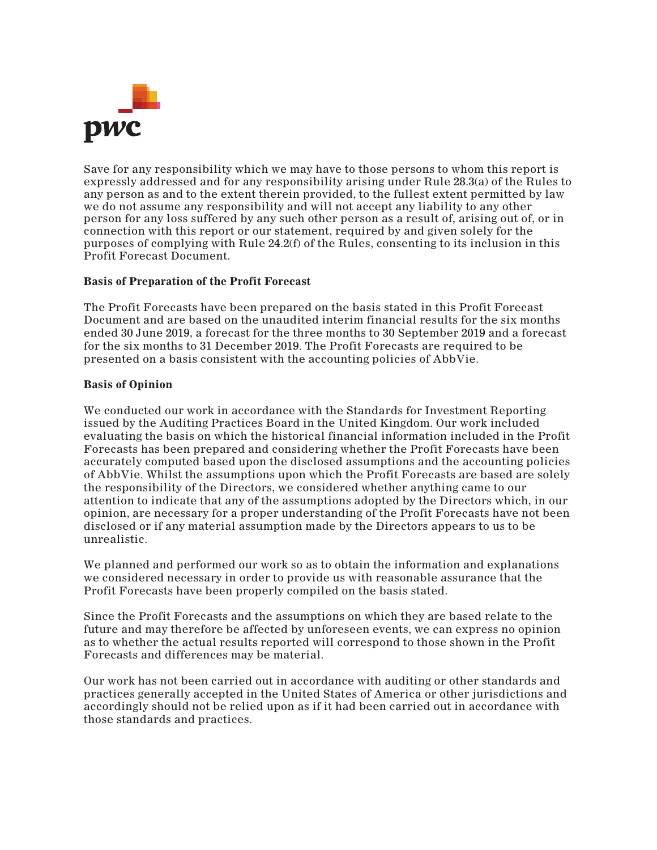

Save for any responsibility which we may have to those persons to whom this report is expressly addressed and for any responsibility arising under Rule 28.3(a) of the Rules to any person as and to the extent therein provided, to the fullest extent permitted by law we do not assume any responsibility and will not accept any liability to any other person for any loss suffered by any such other person as a result of, arising out of, or in connection with this report or our statement, required by and given solely for the purposes of complying with Rule 24.2(f) of the Rules, consenting to its inclusion in this Profit Forecast Document.

# **Basis of Preparation of the Profit Forecast**

The Profit Forecasts have been prepared on the basis stated in this Profit Forecast Document and are based on the unaudited interim financial results for the six months ended 30 June 2019, a forecast for the three months to 30 September 2019 and a forecast for the six months to 31 December 2019. The Profit Forecasts are required to be presented on a basis consistent with the accounting policies of AbbVie.

# **Basis of Opinion**

We conducted our work in accordance with the Standards for Investment Reporting issued by the Auditing Practices Board in the United Kingdom. Our work included evaluating the basis on which the historical financial information included in the Profit Forecasts has been prepared and considering whether the Profit Forecasts have been accurately computed based upon the disclosed assumptions and the accounting policies of AbbVie. Whilst the assumptions upon which the Profit Forecasts are based are solely the responsibility of the Directors, we considered whether anything came to our attention to indicate that any of the assumptions adopted by the Directors which, in our opinion, are necessary for a proper understanding of the Profit Forecasts have not been disclosed or if any material assumption made by the Directors appears to us to be unrealistic.

We planned and performed our work so as to obtain the information and explanations we considered necessary in order to provide us with reasonable assurance that the Profit Forecasts have been properly compiled on the basis stated.

Since the Profit Forecasts and the assumptions on which they are based relate to the future and may therefore be affected by unforeseen events, we can express no opinion as to whether the actual results reported will correspond to those shown in the Profit Forecasts and differences may be material.

Our work has not been carried out in accordance with auditing or other standards and practices generally accepted in the United States of America or other jurisdictions and accordingly should not be relied upon as if it had been carried out in accordance with those standards and practices.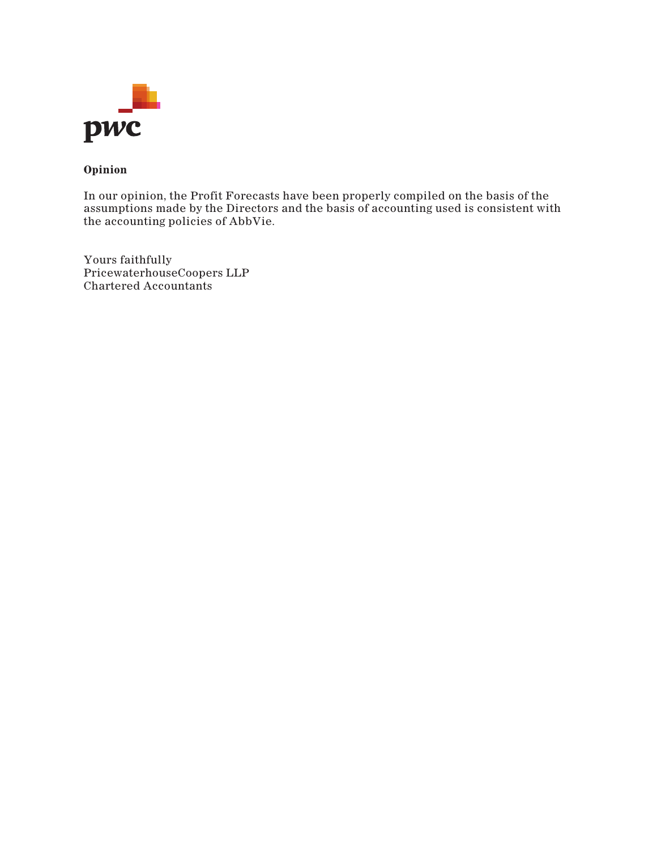

# **Opinion**

In our opinion, the Profit Forecasts have been properly compiled on the basis of the assumptions made by the Directors and the basis of accounting used is consistent with the accounting policies of AbbVie.

Yours faithfully PricewaterhouseCoopers LLP Chartered Accountants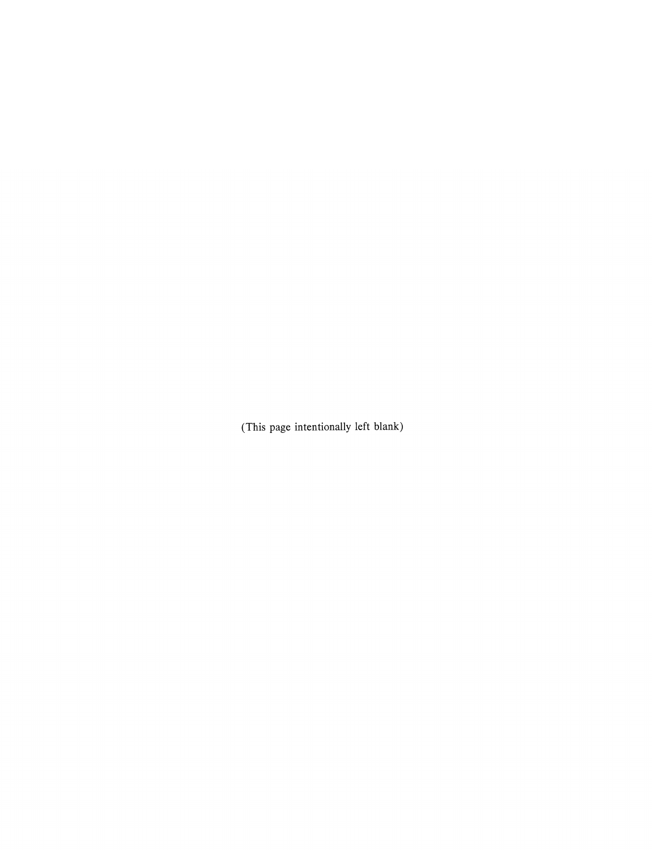(This page intentionally left blank)